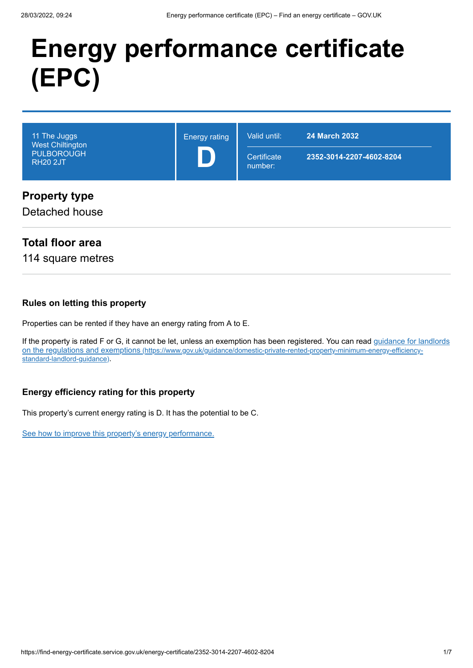# **Energy performance certificate (EPC)**

| 11 The Juggs<br><b>West Chiltington</b><br><b>PULBOROUGH</b><br><b>RH20 2JT</b> | <b>Energy rating</b> | Valid until:<br>Certificate<br>number: | <b>24 March 2032</b><br>2352-3014-2207-4602-8204 |
|---------------------------------------------------------------------------------|----------------------|----------------------------------------|--------------------------------------------------|
| <b>Property type</b><br>Detached house                                          |                      |                                        |                                                  |

### **Total floor area**

114 square metres

#### **Rules on letting this property**

Properties can be rented if they have an energy rating from A to E.

[If the property is rated F or G, it cannot be let, unless an exemption has been registered. You can read guidance for landlords](https://www.gov.uk/guidance/domestic-private-rented-property-minimum-energy-efficiency-standard-landlord-guidance) on the regulations and exemptions (https://www.gov.uk/guidance/domestic-private-rented-property-minimum-energy-efficiencystandard-landlord-guidance).

#### **Energy efficiency rating for this property**

This property's current energy rating is D. It has the potential to be C.

[See how to improve this property's energy performance.](#page-3-0)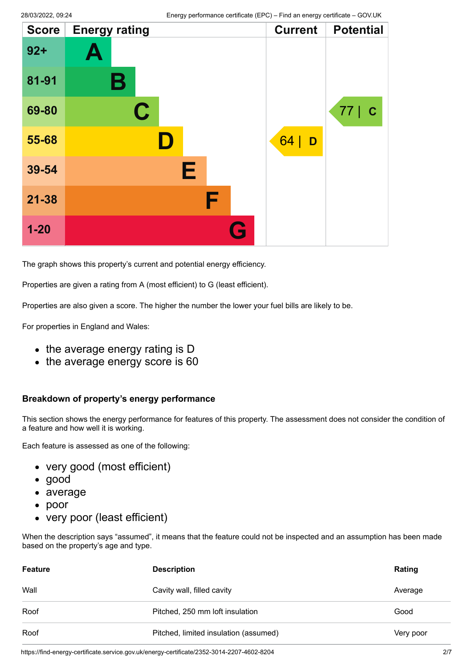| <b>Score</b> | <b>Energy rating</b> | <b>Current</b> | <b>Potential</b>  |
|--------------|----------------------|----------------|-------------------|
| $92 +$       | A                    |                |                   |
| 81-91        | Β                    |                |                   |
| 69-80        | $\mathbf C$          |                | 77<br>$\mathbf C$ |
| 55-68        | D                    | 64<br>D        |                   |
| 39-54        | Е                    |                |                   |
| $21 - 38$    | F                    |                |                   |
| $1 - 20$     | G                    |                |                   |

The graph shows this property's current and potential energy efficiency.

Properties are given a rating from A (most efficient) to G (least efficient).

Properties are also given a score. The higher the number the lower your fuel bills are likely to be.

For properties in England and Wales:

- the average energy rating is D
- the average energy score is 60

#### **Breakdown of property's energy performance**

This section shows the energy performance for features of this property. The assessment does not consider the condition of a feature and how well it is working.

Each feature is assessed as one of the following:

- very good (most efficient)
- good
- average
- poor
- very poor (least efficient)

When the description says "assumed", it means that the feature could not be inspected and an assumption has been made based on the property's age and type.

| <b>Feature</b> | <b>Description</b>                    | Rating    |
|----------------|---------------------------------------|-----------|
| Wall           | Cavity wall, filled cavity            | Average   |
| Roof           | Pitched, 250 mm loft insulation       | Good      |
| Roof           | Pitched, limited insulation (assumed) | Very poor |

https://find-energy-certificate.service.gov.uk/energy-certificate/2352-3014-2207-4602-8204 2/7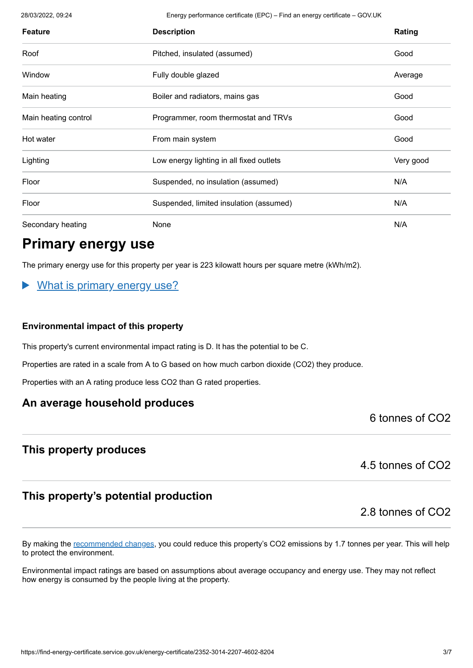28/03/2022, 09:24 Energy performance certificate (EPC) – Find an energy certificate – GOV.UK

| <b>Feature</b>       | <b>Description</b>                       | Rating    |
|----------------------|------------------------------------------|-----------|
| Roof                 | Pitched, insulated (assumed)             | Good      |
| Window               | Fully double glazed                      | Average   |
| Main heating         | Boiler and radiators, mains gas          | Good      |
| Main heating control | Programmer, room thermostat and TRVs     | Good      |
| Hot water            | From main system                         | Good      |
| Lighting             | Low energy lighting in all fixed outlets | Very good |
| Floor                | Suspended, no insulation (assumed)       | N/A       |
| Floor                | Suspended, limited insulation (assumed)  | N/A       |
| Secondary heating    | None                                     | N/A       |

### **Primary energy use**

The primary energy use for this property per year is 223 kilowatt hours per square metre (kWh/m2).

#### What is primary energy use?

#### **Environmental impact of this property**

This property's current environmental impact rating is D. It has the potential to be C.

Properties are rated in a scale from A to G based on how much carbon dioxide (CO2) they produce.

Properties with an A rating produce less CO2 than G rated properties.

#### **An average household produces**

6 tonnes of CO2

#### **This property produces**

4.5 tonnes of CO2

#### **This property's potential production**

2.8 tonnes of CO2

By making the [recommended changes](#page-3-0), you could reduce this property's CO2 emissions by 1.7 tonnes per year. This will help to protect the environment.

Environmental impact ratings are based on assumptions about average occupancy and energy use. They may not reflect how energy is consumed by the people living at the property.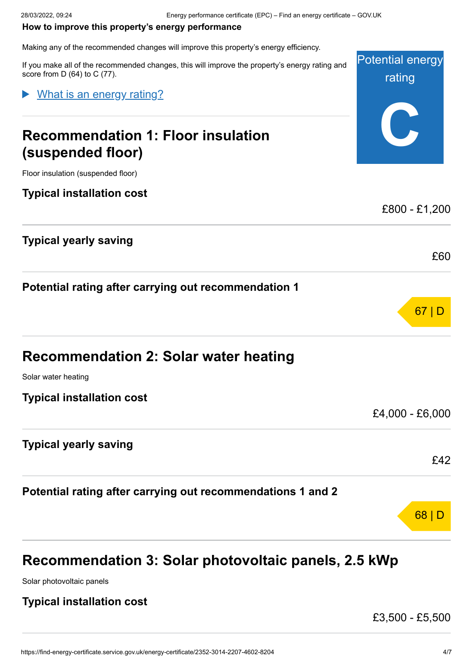#### <span id="page-3-0"></span>**How to improve this property's energy performance**

Making any of the recommended changes will improve this property's energy efficiency.

Potential energy rating **C** If you make all of the recommended changes, this will improve the property's energy rating and score from D (64) to C (77). **Recommendation 1: Floor insulation (suspended floor)** Floor insulation (suspended floor) **Typical installation cost** £800 - £1,200 **Typical yearly saving** £60 **Potential rating after carrying out recommendation 1** 67 | D **Recommendation 2: Solar water heating** Solar water heating **Typical installation cost** £4,000 - £6,000 **Typical yearly saving** £42 **Potential rating after carrying out recommendations 1 and 2** 68 | D What is an energy rating?

### **Recommendation 3: Solar photovoltaic panels, 2.5 kWp**

Solar photovoltaic panels

#### **Typical installation cost**

£3,500 - £5,500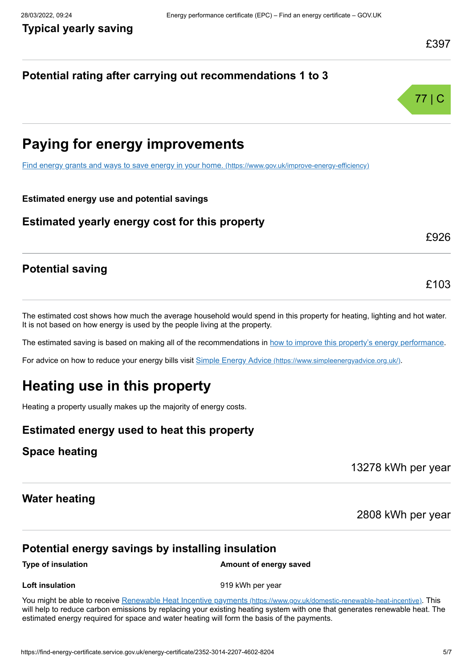£926

£103

#### **Potential rating after carrying out recommendations 1 to 3**



## **Paying for energy improvements**

[Find energy grants and ways to save energy in your home.](https://www.gov.uk/improve-energy-efficiency) (https://www.gov.uk/improve-energy-efficiency)

#### **Estimated energy use and potential savings**

#### **Estimated yearly energy cost for this property**

#### **Potential saving**

The estimated cost shows how much the average household would spend in this property for heating, lighting and hot water. It is not based on how energy is used by the people living at the property.

The estimated saving is based on making all of the recommendations in [how to improve this property's energy performance.](#page-3-0)

For advice on how to reduce your energy bills visit Simple Energy Advice [\(https://www.simpleenergyadvice.org.uk/\)](https://www.simpleenergyadvice.org.uk/).

### **Heating use in this property**

Heating a property usually makes up the majority of energy costs.

#### **Estimated energy used to heat this property**

#### **Space heating**

13278 kWh per year

#### **Water heating**

2808 kWh per year

#### **Potential energy savings by installing insulation**

#### **Type of insulation Amount of energy saved**

**Loft insulation** example the state of the 919 kWh per year

You might be able to receive Renewable Heat Incentive payments [\(https://www.gov.uk/domestic-renewable-heat-incentive\)](https://www.gov.uk/domestic-renewable-heat-incentive). This will help to reduce carbon emissions by replacing your existing heating system with one that generates renewable heat. The estimated energy required for space and water heating will form the basis of the payments.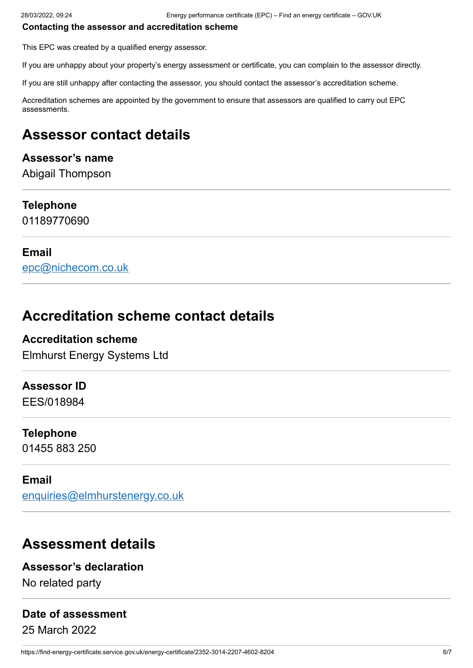#### **Contacting the assessor and accreditation scheme**

This EPC was created by a qualified energy assessor.

If you are unhappy about your property's energy assessment or certificate, you can complain to the assessor directly.

If you are still unhappy after contacting the assessor, you should contact the assessor's accreditation scheme.

Accreditation schemes are appointed by the government to ensure that assessors are qualified to carry out EPC assessments.

## **Assessor contact details**

#### **Assessor's name**

Abigail Thompson

#### **Telephone**

01189770690

#### **Email**

[epc@nichecom.co.uk](mailto:epc@nichecom.co.uk)

### **Accreditation scheme contact details**

#### **Accreditation scheme**

Elmhurst Energy Systems Ltd

#### **Assessor ID**

EES/018984

#### **Telephone**

01455 883 250

#### **Email**

[enquiries@elmhurstenergy.co.uk](mailto:enquiries@elmhurstenergy.co.uk)

### **Assessment details**

#### **Assessor's declaration**

No related party

#### **Date of assessment**

25 March 2022